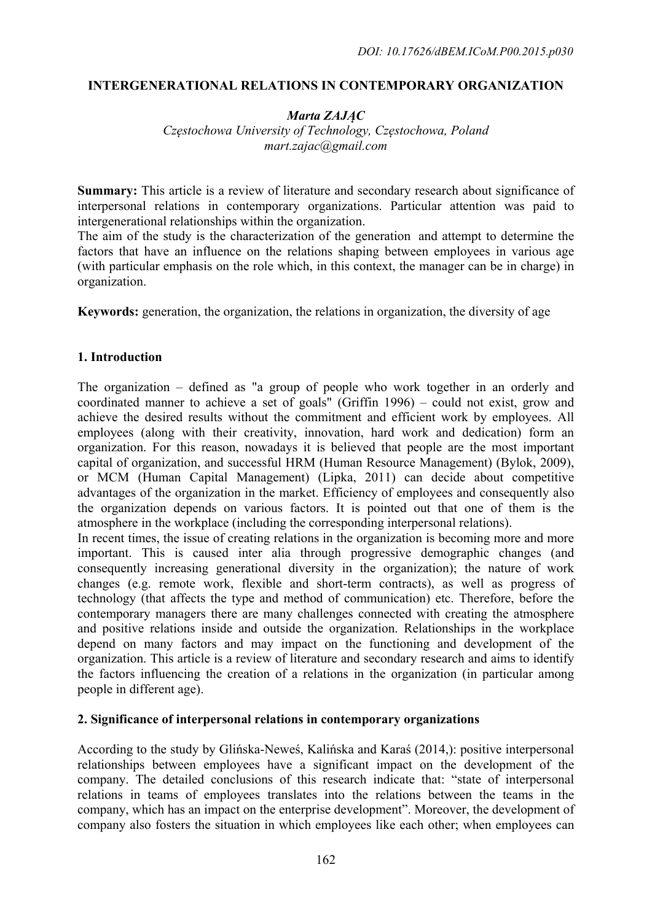# **INTERGENERATIONAL RELATIONS IN CONTEMPORARY ORGANIZATION**

### *Marta ZAJĄC Częstochowa University of Technology, Częstochowa, Poland mart.zajac@gmail.com*

**Summary:** This article is a review of literature and secondary research about significance of interpersonal relations in contemporary organizations. Particular attention was paid to intergenerational relationships within the organization.

The aim of the study is the characterization of the generation and attempt to determine the factors that have an influence on the relations shaping between employees in various age (with particular emphasis on the role which, in this context, the manager can be in charge) in organization.

**Keywords:** generation, the organization, the relations in organization, the diversity of age

# **1. Introduction**

The organization – defined as "a group of people who work together in an orderly and coordinated manner to achieve a set of goals" (Griffin 1996) – could not exist, grow and achieve the desired results without the commitment and efficient work by employees. All employees (along with their creativity, innovation, hard work and dedication) form an organization. For this reason, nowadays it is believed that people are the most important capital of organization, and successful HRM (Human Resource Management) (Bylok, 2009), or MCM (Human Capital Management) (Lipka, 2011) can decide about competitive advantages of the organization in the market. Efficiency of employees and consequently also the organization depends on various factors. It is pointed out that one of them is the atmosphere in the workplace (including the corresponding interpersonal relations).

In recent times, the issue of creating relations in the organization is becoming more and more important. This is caused inter alia through progressive demographic changes (and consequently increasing generational diversity in the organization); the nature of work changes (e.g. remote work, flexible and short-term contracts), as well as progress of technology (that affects the type and method of communication) etc. Therefore, before the contemporary managers there are many challenges connected with creating the atmosphere and positive relations inside and outside the organization. Relationships in the workplace depend on many factors and may impact on the functioning and development of the organization. This article is a review of literature and secondary research and aims to identify the factors influencing the creation of a relations in the organization (in particular among people in different age).

### **2. Significance of interpersonal relations in contemporary organizations**

According to the study by Glińska-Neweś, Kalińska and Karaś (2014,): positive interpersonal relationships between employees have a significant impact on the development of the company. The detailed conclusions of this research indicate that: "state of interpersonal relations in teams of employees translates into the relations between the teams in the company, which has an impact on the enterprise development". Moreover, the development of company also fosters the situation in which employees like each other; when employees can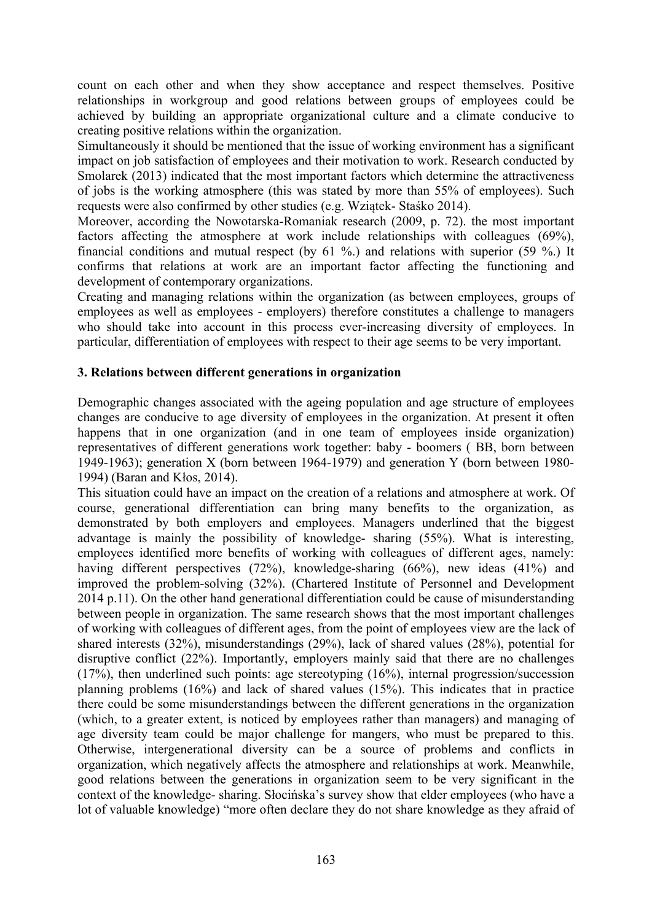count on each other and when they show acceptance and respect themselves. Positive relationships in workgroup and good relations between groups of employees could be achieved by building an appropriate organizational culture and a climate conducive to creating positive relations within the organization.

Simultaneously it should be mentioned that the issue of working environment has a significant impact on job satisfaction of employees and their motivation to work. Research conducted by Smolarek (2013) indicated that the most important factors which determine the attractiveness of jobs is the working atmosphere (this was stated by more than 55% of employees). Such requests were also confirmed by other studies (e.g. Wziątek- Staśko 2014).

Moreover, according the Nowotarska-Romaniak research (2009, p. 72). the most important factors affecting the atmosphere at work include relationships with colleagues (69%), financial conditions and mutual respect (by 61 %.) and relations with superior (59 %.) It confirms that relations at work are an important factor affecting the functioning and development of contemporary organizations.

Creating and managing relations within the organization (as between employees, groups of employees as well as employees - employers) therefore constitutes a challenge to managers who should take into account in this process ever-increasing diversity of employees. In particular, differentiation of employees with respect to their age seems to be very important.

### **3. Relations between different generations in organization**

Demographic changes associated with the ageing population and age structure of employees changes are conducive to age diversity of employees in the organization. At present it often happens that in one organization (and in one team of employees inside organization) representatives of different generations work together: baby - boomers ( BB, born between 1949-1963); generation X (born between 1964-1979) and generation Y (born between 1980- 1994) (Baran and Kłos, 2014).

This situation could have an impact on the creation of a relations and atmosphere at work. Of course, generational differentiation can bring many benefits to the organization, as demonstrated by both employers and employees. Managers underlined that the biggest advantage is mainly the possibility of knowledge- sharing (55%). What is interesting, employees identified more benefits of working with colleagues of different ages, namely: having different perspectives (72%), knowledge-sharing (66%), new ideas (41%) and improved the problem-solving (32%). (Chartered Institute of Personnel and Development 2014 p.11). On the other hand generational differentiation could be cause of misunderstanding between people in organization. The same research shows that the most important challenges of working with colleagues of different ages, from the point of employees view are the lack of shared interests (32%), misunderstandings (29%), lack of shared values (28%), potential for disruptive conflict (22%). Importantly, employers mainly said that there are no challenges (17%), then underlined such points: age stereotyping (16%), internal progression/succession planning problems (16%) and lack of shared values (15%). This indicates that in practice there could be some misunderstandings between the different generations in the organization (which, to a greater extent, is noticed by employees rather than managers) and managing of age diversity team could be major challenge for mangers, who must be prepared to this. Otherwise, intergenerational diversity can be a source of problems and conflicts in organization, which negatively affects the atmosphere and relationships at work. Meanwhile, good relations between the generations in organization seem to be very significant in the context of the knowledge- sharing. Słocińska's survey show that elder employees (who have a lot of valuable knowledge) "more often declare they do not share knowledge as they afraid of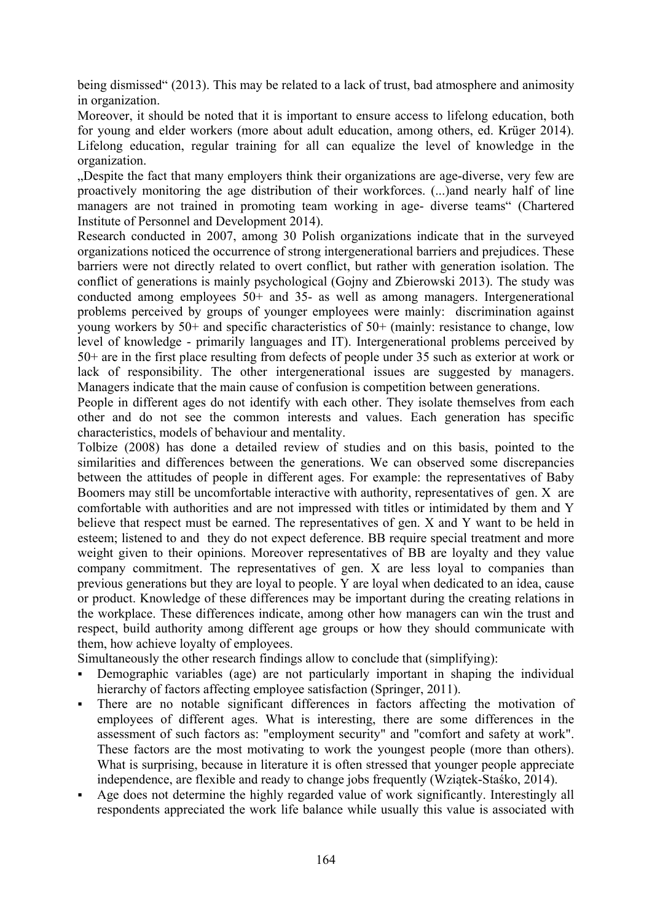being dismissed" (2013). This may be related to a lack of trust, bad atmosphere and animosity in organization.

Moreover, it should be noted that it is important to ensure access to lifelong education, both for young and elder workers (more about adult education, among others, ed. Krüger 2014). Lifelong education, regular training for all can equalize the level of knowledge in the organization.

Despite the fact that many employers think their organizations are age-diverse, very few are proactively monitoring the age distribution of their workforces. (...)and nearly half of line managers are not trained in promoting team working in age- diverse teams" (Chartered Institute of Personnel and Development 2014).

Research conducted in 2007, among 30 Polish organizations indicate that in the surveyed organizations noticed the occurrence of strong intergenerational barriers and prejudices. These barriers were not directly related to overt conflict, but rather with generation isolation. The conflict of generations is mainly psychological (Gojny and Zbierowski 2013). The study was conducted among employees 50+ and 35- as well as among managers. Intergenerational problems perceived by groups of younger employees were mainly: discrimination against young workers by 50+ and specific characteristics of 50+ (mainly: resistance to change, low level of knowledge - primarily languages and IT). Intergenerational problems perceived by 50+ are in the first place resulting from defects of people under 35 such as exterior at work or lack of responsibility. The other intergenerational issues are suggested by managers. Managers indicate that the main cause of confusion is competition between generations.

People in different ages do not identify with each other. They isolate themselves from each other and do not see the common interests and values. Each generation has specific characteristics, models of behaviour and mentality.

Tolbize (2008) has done a detailed review of studies and on this basis, pointed to the similarities and differences between the generations. We can observed some discrepancies between the attitudes of people in different ages. For example: the representatives of Baby Boomers may still be uncomfortable interactive with authority, representatives of gen. X are comfortable with authorities and are not impressed with titles or intimidated by them and Y believe that respect must be earned. The representatives of gen. X and Y want to be held in esteem; listened to and they do not expect deference. BB require special treatment and more weight given to their opinions. Moreover representatives of BB are loyalty and they value company commitment. The representatives of gen. X are less loyal to companies than previous generations but they are loyal to people. Y are loyal when dedicated to an idea, cause or product. Knowledge of these differences may be important during the creating relations in the workplace. These differences indicate, among other how managers can win the trust and respect, build authority among different age groups or how they should communicate with them, how achieve loyalty of employees.

Simultaneously the other research findings allow to conclude that (simplifying):

- Demographic variables (age) are not particularly important in shaping the individual hierarchy of factors affecting employee satisfaction (Springer, 2011).
- There are no notable significant differences in factors affecting the motivation of employees of different ages. What is interesting, there are some differences in the assessment of such factors as: "employment security" and "comfort and safety at work". These factors are the most motivating to work the youngest people (more than others). What is surprising, because in literature it is often stressed that younger people appreciate independence, are flexible and ready to change jobs frequently (Wziątek-Staśko, 2014).
- Age does not determine the highly regarded value of work significantly. Interestingly all respondents appreciated the work life balance while usually this value is associated with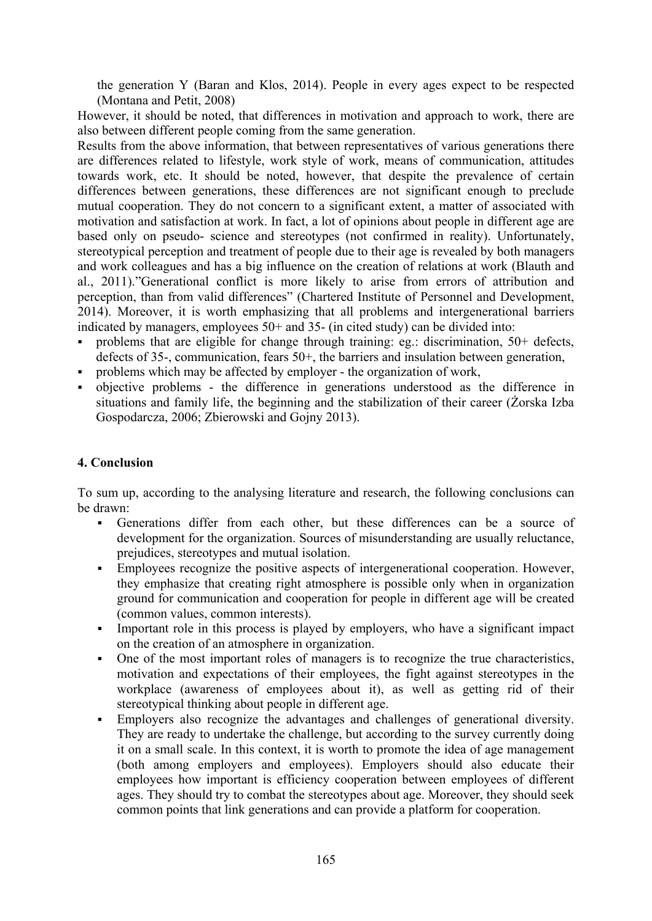the generation Y (Baran and Klos, 2014). People in every ages expect to be respected (Montana and Petit, 2008)

However, it should be noted, that differences in motivation and approach to work, there are also between different people coming from the same generation.

Results from the above information, that between representatives of various generations there are differences related to lifestyle, work style of work, means of communication, attitudes towards work, etc. It should be noted, however, that despite the prevalence of certain differences between generations, these differences are not significant enough to preclude mutual cooperation. They do not concern to a significant extent, a matter of associated with motivation and satisfaction at work. In fact, a lot of opinions about people in different age are based only on pseudo- science and stereotypes (not confirmed in reality). Unfortunately, stereotypical perception and treatment of people due to their age is revealed by both managers and work colleagues and has a big influence on the creation of relations at work (Blauth and al., 2011)."Generational conflict is more likely to arise from errors of attribution and perception, than from valid differences" (Chartered Institute of Personnel and Development, 2014). Moreover, it is worth emphasizing that all problems and intergenerational barriers indicated by managers, employees 50+ and 35- (in cited study) can be divided into:

- problems that are eligible for change through training: eg.: discrimination, 50+ defects, defects of 35-, communication, fears 50+, the barriers and insulation between generation,
- problems which may be affected by employer the organization of work,
- objective problems the difference in generations understood as the difference in situations and family life, the beginning and the stabilization of their career (Żorska Izba Gospodarcza, 2006; Zbierowski and Gojny 2013).

# **4. Conclusion**

To sum up, according to the analysing literature and research, the following conclusions can be drawn:

- Generations differ from each other, but these differences can be a source of development for the organization. Sources of misunderstanding are usually reluctance, prejudices, stereotypes and mutual isolation.
- Employees recognize the positive aspects of intergenerational cooperation. However, they emphasize that creating right atmosphere is possible only when in organization ground for communication and cooperation for people in different age will be created (common values, common interests).
- Important role in this process is played by employers, who have a significant impact on the creation of an atmosphere in organization.
- One of the most important roles of managers is to recognize the true characteristics, motivation and expectations of their employees, the fight against stereotypes in the workplace (awareness of employees about it), as well as getting rid of their stereotypical thinking about people in different age.
- Employers also recognize the advantages and challenges of generational diversity. They are ready to undertake the challenge, but according to the survey currently doing it on a small scale. In this context, it is worth to promote the idea of age management (both among employers and employees). Employers should also educate their employees how important is efficiency cooperation between employees of different ages. They should try to combat the stereotypes about age. Moreover, they should seek common points that link generations and can provide a platform for cooperation.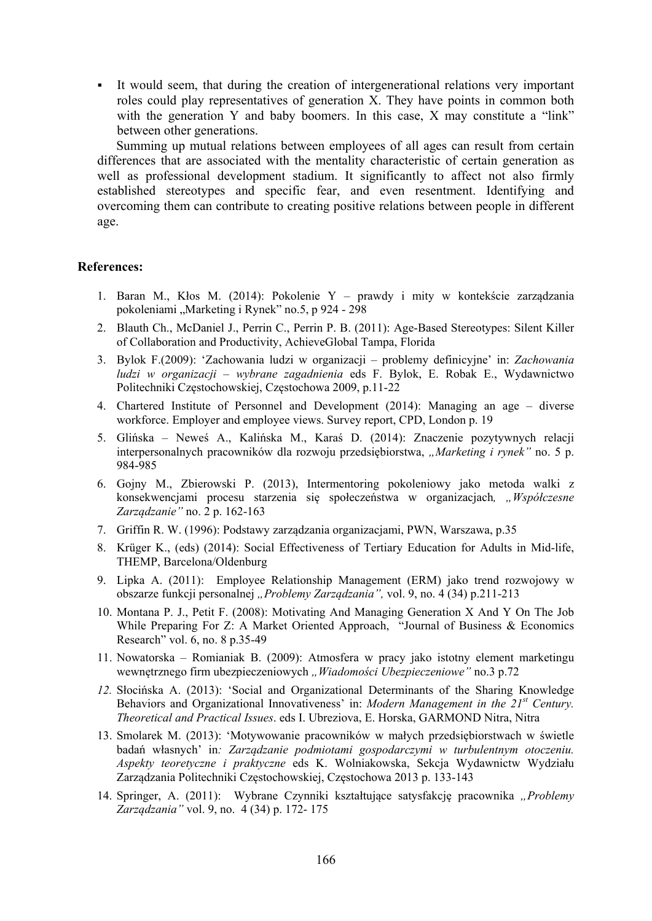It would seem, that during the creation of intergenerational relations very important roles could play representatives of generation X. They have points in common both with the generation Y and baby boomers. In this case, X may constitute a "link" between other generations.

Summing up mutual relations between employees of all ages can result from certain differences that are associated with the mentality characteristic of certain generation as well as professional development stadium. It significantly to affect not also firmly established stereotypes and specific fear, and even resentment. Identifying and overcoming them can contribute to creating positive relations between people in different age.

#### **References:**

- 1. Baran M., Kłos M. (2014): Pokolenie Y prawdy i mity w kontekście zarządzania pokoleniami "Marketing i Rynek" no.5, p 924 - 298
- 2. Blauth Ch., McDaniel J., Perrin C., Perrin P. B. (2011): Age-Based Stereotypes: Silent Killer of Collaboration and Productivity, AchieveGlobal Tampa, Florida
- 3. Bylok F.(2009): 'Zachowania ludzi w organizacji problemy definicyjne' in: *Zachowania ludzi w organizacji – wybrane zagadnienia* eds F. Bylok, E. Robak E., Wydawnictwo Politechniki Częstochowskiej, Częstochowa 2009, p.11-22
- 4. Chartered Institute of Personnel and Development (2014): Managing an age diverse workforce. Employer and employee views. Survey report, CPD, London p. 19
- 5. Glińska Neweś A., Kalińska M., Karaś D. (2014): Znaczenie pozytywnych relacji interpersonalnych pracowników dla rozwoju przedsiębiorstwa, "*Marketing i rynek"* no. 5 p. 984-985
- 6. Gojny M., Zbierowski P. (2013), Intermentoring pokoleniowy jako metoda walki z konsekwencjami procesu starzenia się społeczeństwa w organizacjach*, "Współczesne Zarządzanie"* no. 2 p. 162-163
- 7. Griffin R. W. (1996): Podstawy zarządzania organizacjami, PWN, Warszawa, p.35
- 8. Krüger K., (eds) (2014): Social Effectiveness of Tertiary Education for Adults in Mid-life, THEMP, Barcelona/Oldenburg
- 9. Lipka A. (2011): Employee Relationship Management (ERM) jako trend rozwojowy w obszarze funkcji personalnej *"Problemy Zarządzania",* vol. 9, no. 4 (34) p.211-213
- 10. Montana P. J., Petit F. (2008): Motivating And Managing Generation X And Y On The Job While Preparing For Z: A Market Oriented Approach, "Journal of Business & Economics Research" vol. 6, no. 8 p.35-49
- 11. Nowatorska Romianiak B. (2009): Atmosfera w pracy jako istotny element marketingu wewnętrznego firm ubezpieczeniowych "*Wiadomości Ubezpieczeniowe"* no.3 p.72
- *12.* Słocińska A. (2013): 'Social and Organizational Determinants of the Sharing Knowledge Behaviors and Organizational Innovativeness' in: *Modern Management in the 21st Century. Theoretical and Practical Issues*. eds I. Ubreziova, E. Horska, GARMOND Nitra, Nitra
- 13. Smolarek M. (2013): 'Motywowanie pracowników w małych przedsiębiorstwach w świetle badań własnych' in*: Zarządzanie podmiotami gospodarczymi w turbulentnym otoczeniu. Aspekty teoretyczne i praktyczne* eds K. Wolniakowska, Sekcja Wydawnictw Wydziału Zarządzania Politechniki Częstochowskiej, Częstochowa 2013 p. 133-143
- 14. Springer, A. (2011): Wybrane Czynniki kształtujące satysfakcję pracownika "*Problemy Zarządzania"* vol. 9, no. 4 (34) p. 172- 175